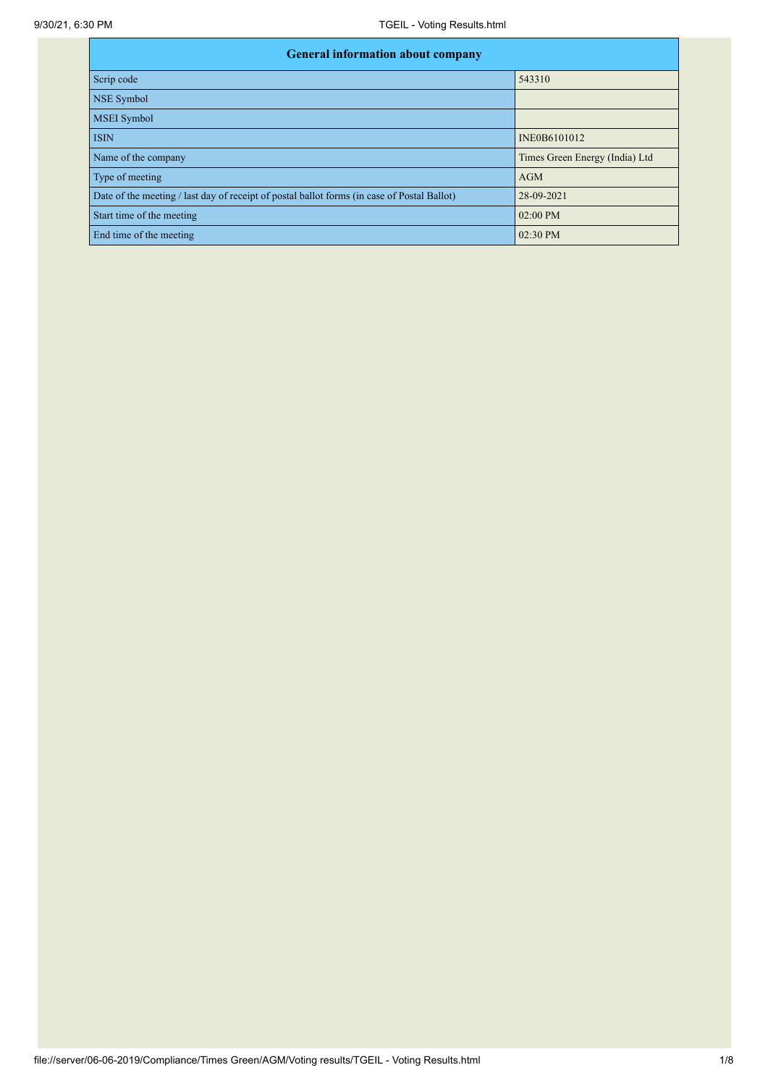| <b>General information about company</b>                                                    |                                |  |  |  |  |  |
|---------------------------------------------------------------------------------------------|--------------------------------|--|--|--|--|--|
| Scrip code                                                                                  | 543310                         |  |  |  |  |  |
| NSE Symbol                                                                                  |                                |  |  |  |  |  |
| <b>MSEI</b> Symbol                                                                          |                                |  |  |  |  |  |
| <b>ISIN</b>                                                                                 | INE0B6101012                   |  |  |  |  |  |
| Name of the company                                                                         | Times Green Energy (India) Ltd |  |  |  |  |  |
| Type of meeting                                                                             | <b>AGM</b>                     |  |  |  |  |  |
| Date of the meeting / last day of receipt of postal ballot forms (in case of Postal Ballot) | 28-09-2021                     |  |  |  |  |  |
| Start time of the meeting                                                                   | 02:00 PM                       |  |  |  |  |  |
| End time of the meeting                                                                     | $02:30$ PM                     |  |  |  |  |  |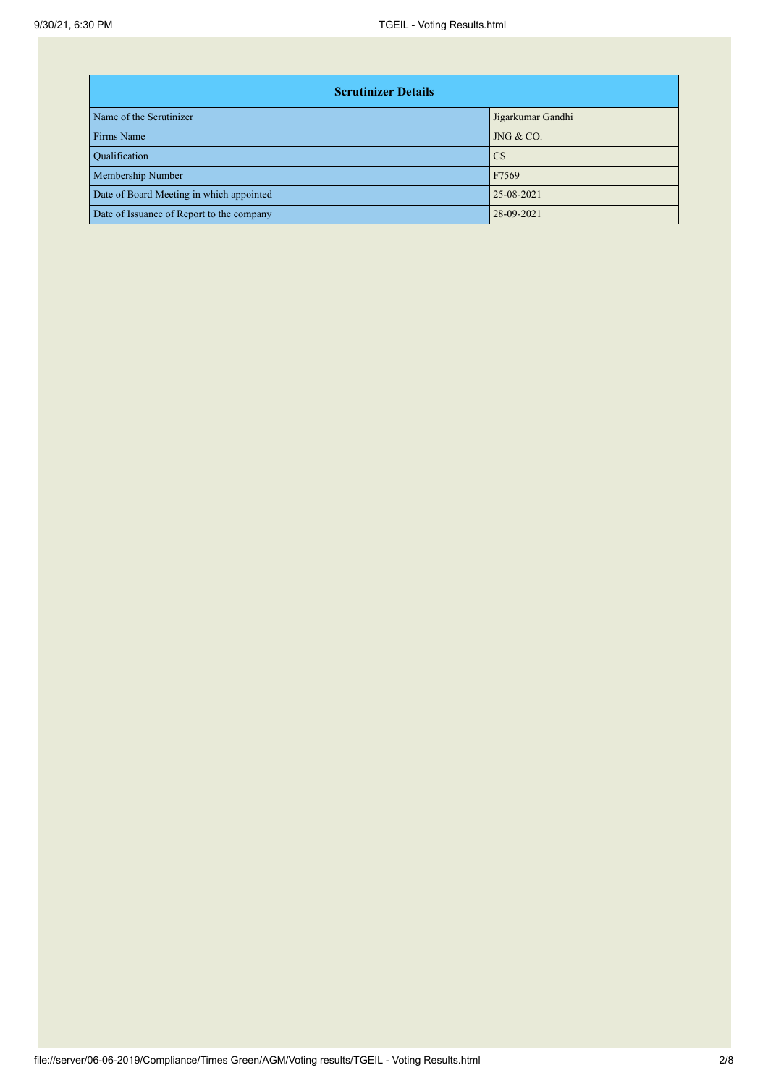| <b>Scrutinizer Details</b>                |                   |  |  |  |  |
|-------------------------------------------|-------------------|--|--|--|--|
| Name of the Scrutinizer                   | Jigarkumar Gandhi |  |  |  |  |
| Firms Name                                | JNG & CO.         |  |  |  |  |
| <b>Qualification</b>                      | <b>CS</b>         |  |  |  |  |
| Membership Number                         | F7569             |  |  |  |  |
| Date of Board Meeting in which appointed  | 25-08-2021        |  |  |  |  |
| Date of Issuance of Report to the company | 28-09-2021        |  |  |  |  |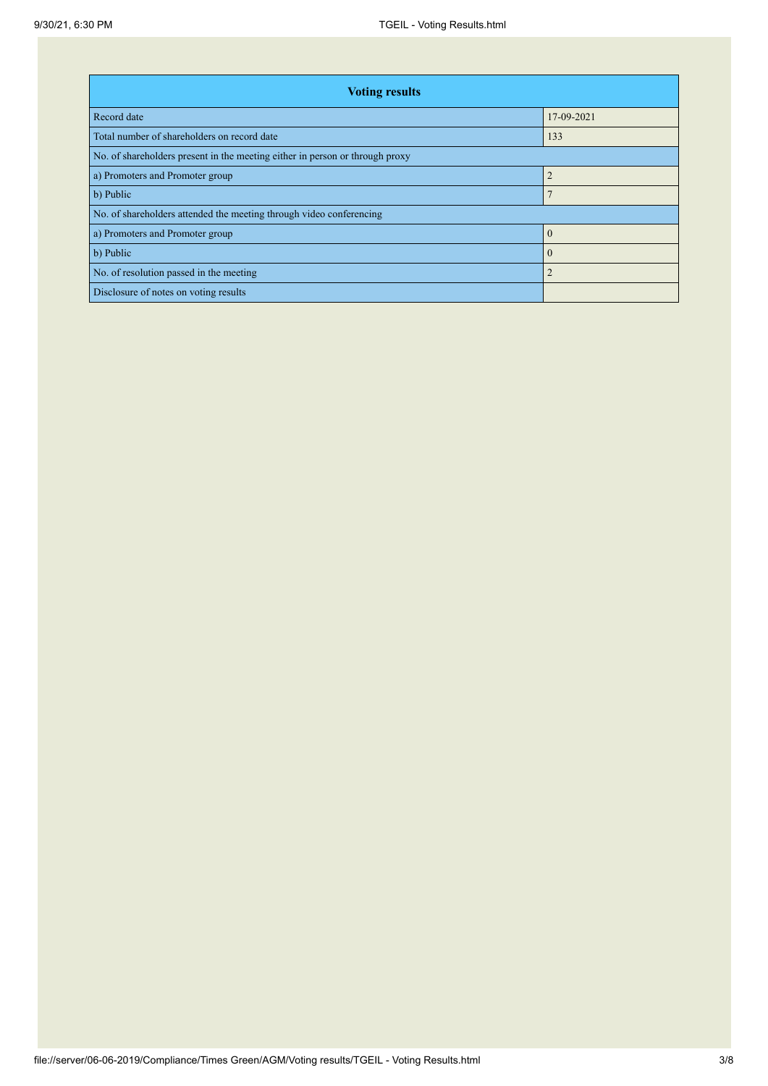| <b>Voting results</b>                                                        |                |  |  |  |  |  |
|------------------------------------------------------------------------------|----------------|--|--|--|--|--|
| Record date                                                                  | 17-09-2021     |  |  |  |  |  |
| Total number of shareholders on record date                                  | 133            |  |  |  |  |  |
| No. of shareholders present in the meeting either in person or through proxy |                |  |  |  |  |  |
| a) Promoters and Promoter group                                              | $\overline{2}$ |  |  |  |  |  |
| b) Public                                                                    |                |  |  |  |  |  |
| No. of shareholders attended the meeting through video conferencing          |                |  |  |  |  |  |
| a) Promoters and Promoter group                                              | $\mathbf{0}$   |  |  |  |  |  |
| b) Public                                                                    | $\Omega$       |  |  |  |  |  |
| No. of resolution passed in the meeting                                      |                |  |  |  |  |  |
| Disclosure of notes on voting results                                        |                |  |  |  |  |  |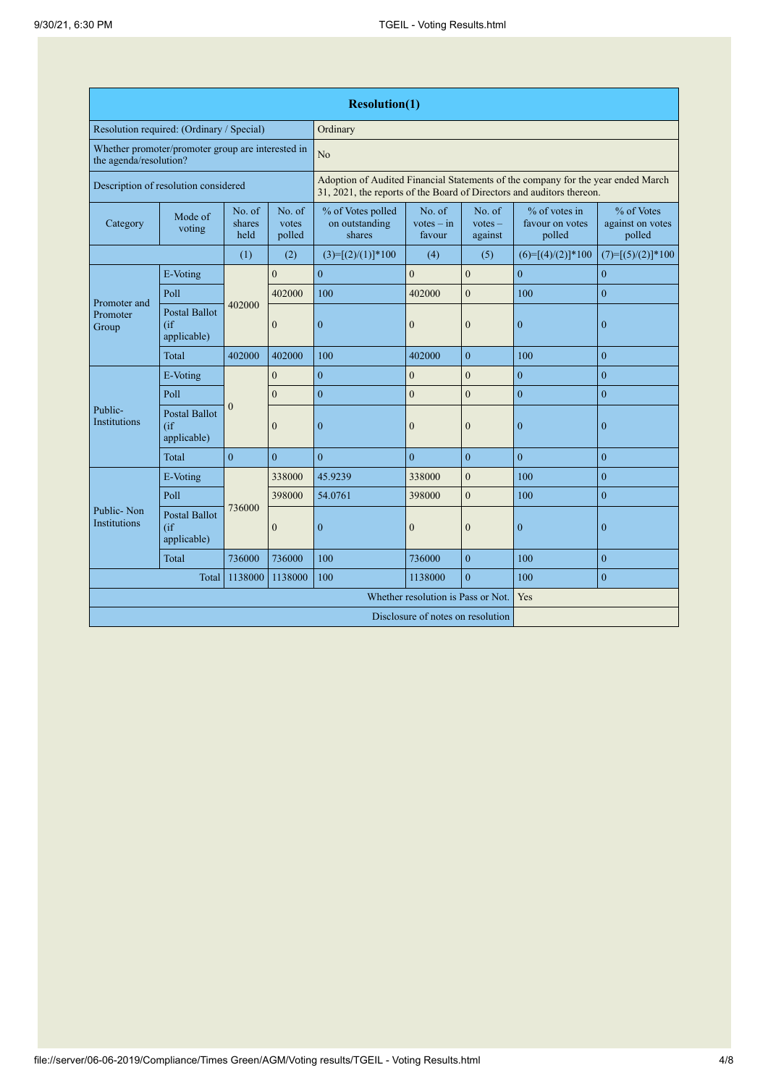| <b>Resolution(1)</b>                                                        |                                               |                          |                                                                                                                                                           |                                               |                                  |                                |                                              |                                          |
|-----------------------------------------------------------------------------|-----------------------------------------------|--------------------------|-----------------------------------------------------------------------------------------------------------------------------------------------------------|-----------------------------------------------|----------------------------------|--------------------------------|----------------------------------------------|------------------------------------------|
| Resolution required: (Ordinary / Special)                                   |                                               |                          | Ordinary                                                                                                                                                  |                                               |                                  |                                |                                              |                                          |
| Whether promoter/promoter group are interested in<br>the agenda/resolution? |                                               |                          | No                                                                                                                                                        |                                               |                                  |                                |                                              |                                          |
| Description of resolution considered                                        |                                               |                          | Adoption of Audited Financial Statements of the company for the year ended March<br>31, 2021, the reports of the Board of Directors and auditors thereon. |                                               |                                  |                                |                                              |                                          |
| Category                                                                    | Mode of<br>voting                             | No. of<br>shares<br>held | No. of<br>votes<br>polled                                                                                                                                 | % of Votes polled<br>on outstanding<br>shares | No. of<br>$votes - in$<br>favour | No. of<br>$votes -$<br>against | $%$ of votes in<br>favour on votes<br>polled | % of Votes<br>against on votes<br>polled |
|                                                                             |                                               | (1)                      | (2)                                                                                                                                                       | $(3)=[(2)/(1)]*100$                           | (4)                              | (5)                            | $(6)=[(4)/(2)]*100$                          | $(7)=[(5)/(2)]*100$                      |
|                                                                             | E-Voting                                      |                          | $\mathbf{0}$                                                                                                                                              | $\theta$                                      | $\mathbf{0}$                     | $\mathbf{0}$                   | $\theta$                                     | $\Omega$                                 |
|                                                                             | Poll                                          |                          | 402000                                                                                                                                                    | 100                                           | 402000                           | $\mathbf{0}$                   | 100                                          | $\boldsymbol{0}$                         |
| Promoter and<br>Promoter<br>Group                                           | <b>Postal Ballot</b><br>(i f)<br>applicable)  | 402000                   | $\mathbf{0}$                                                                                                                                              | $\mathbf{0}$                                  | $\mathbf{0}$                     | $\mathbf{0}$                   | $\mathbf{0}$                                 | $\mathbf{0}$                             |
|                                                                             | Total                                         | 402000                   | 402000                                                                                                                                                    | 100                                           | 402000                           | $\mathbf{0}$                   | 100                                          | $\mathbf{0}$                             |
|                                                                             | E-Voting                                      | $\overline{0}$           | $\mathbf{0}$                                                                                                                                              | $\overline{0}$                                | $\mathbf{0}$                     | $\mathbf{0}$                   | $\overline{0}$                               | $\overline{0}$                           |
|                                                                             | Poll                                          |                          | $\overline{0}$                                                                                                                                            | $\overline{0}$                                | $\overline{0}$                   | $\mathbf{0}$                   | $\overline{0}$                               | $\overline{0}$                           |
| Public-<br>Institutions                                                     | <b>Postal Ballot</b><br>(i f)<br>applicable)  |                          | $\mathbf{0}$                                                                                                                                              | $\mathbf{0}$                                  | $\mathbf{0}$                     | $\boldsymbol{0}$               | $\boldsymbol{0}$                             | $\boldsymbol{0}$                         |
|                                                                             | Total                                         | $\overline{0}$           | $\Omega$                                                                                                                                                  | $\theta$                                      | $\Omega$                         | $\overline{0}$                 | $\theta$                                     | $\theta$                                 |
|                                                                             | E-Voting                                      |                          | 338000                                                                                                                                                    | 45.9239                                       | 338000                           | $\mathbf{0}$                   | 100                                          | $\mathbf{0}$                             |
| Public-Non<br>Institutions                                                  | Poll                                          |                          | 398000                                                                                                                                                    | 54.0761                                       | 398000                           | $\mathbf{0}$                   | 100                                          | $\mathbf{0}$                             |
|                                                                             | <b>Postal Ballot</b><br>$($ if<br>applicable) | 736000                   | $\mathbf{0}$                                                                                                                                              | $\mathbf{0}$                                  | $\theta$                         | $\mathbf{0}$                   | $\mathbf{0}$                                 | $\mathbf{0}$                             |
|                                                                             | Total                                         | 736000                   | 736000                                                                                                                                                    | 100                                           | 736000                           | $\overline{0}$                 | 100                                          | $\mathbf{0}$                             |
| Total<br>1138000<br>1138000                                                 |                                               |                          | 100                                                                                                                                                       | 1138000                                       | $\overline{0}$                   | 100                            | $\theta$                                     |                                          |
| Whether resolution is Pass or Not.                                          |                                               |                          |                                                                                                                                                           |                                               |                                  | <b>Yes</b>                     |                                              |                                          |
| Disclosure of notes on resolution                                           |                                               |                          |                                                                                                                                                           |                                               |                                  |                                |                                              |                                          |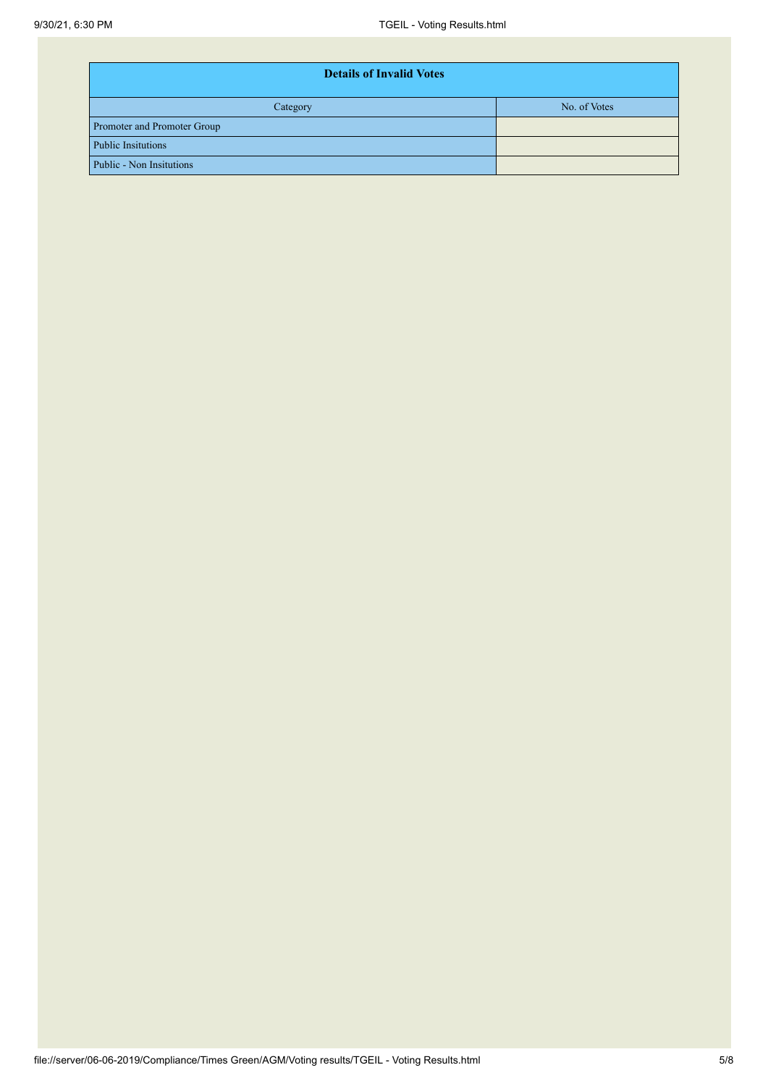| <b>Details of Invalid Votes</b> |              |  |  |  |  |
|---------------------------------|--------------|--|--|--|--|
| Category                        | No. of Votes |  |  |  |  |
| Promoter and Promoter Group     |              |  |  |  |  |
| <b>Public Insitutions</b>       |              |  |  |  |  |
| Public - Non Insitutions        |              |  |  |  |  |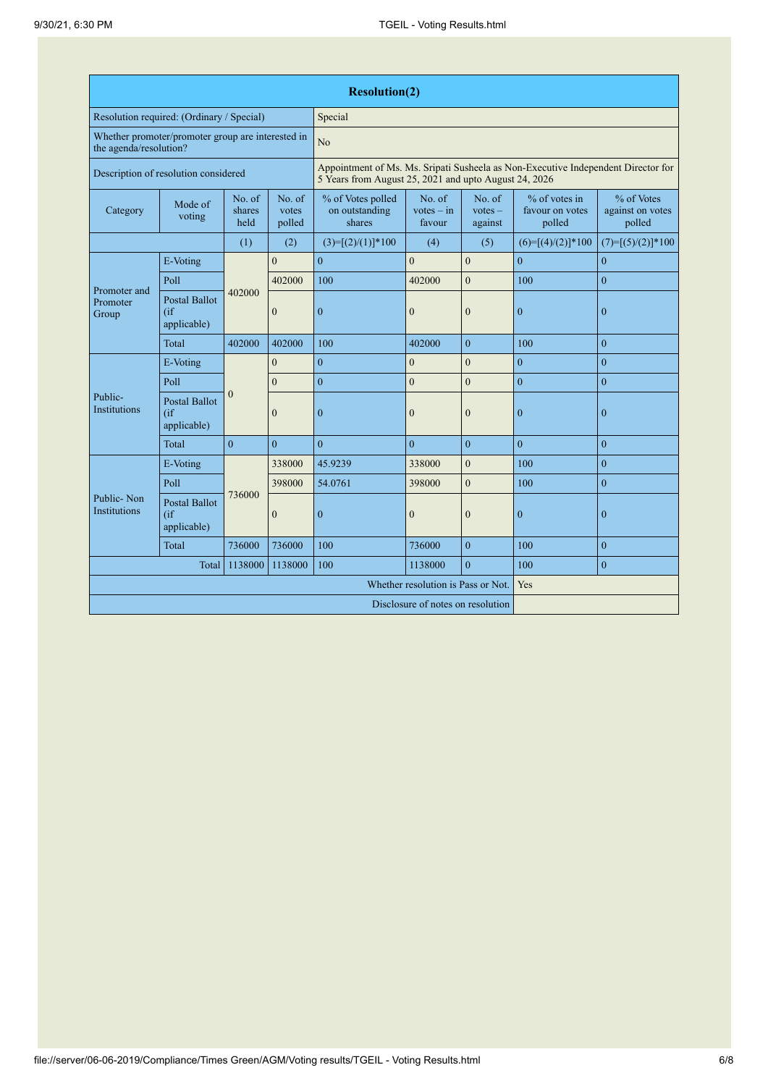| <b>Resolution(2)</b>                                                        |                                              |                          |                                                                                                                                            |                                               |                                  |                                |                                            |                                          |
|-----------------------------------------------------------------------------|----------------------------------------------|--------------------------|--------------------------------------------------------------------------------------------------------------------------------------------|-----------------------------------------------|----------------------------------|--------------------------------|--------------------------------------------|------------------------------------------|
| Resolution required: (Ordinary / Special)                                   |                                              |                          | Special                                                                                                                                    |                                               |                                  |                                |                                            |                                          |
| Whether promoter/promoter group are interested in<br>the agenda/resolution? |                                              |                          | No                                                                                                                                         |                                               |                                  |                                |                                            |                                          |
| Description of resolution considered                                        |                                              |                          | Appointment of Ms. Ms. Sripati Susheela as Non-Executive Independent Director for<br>5 Years from August 25, 2021 and upto August 24, 2026 |                                               |                                  |                                |                                            |                                          |
| Category                                                                    | Mode of<br>voting                            | No. of<br>shares<br>held | No. of<br>votes<br>polled                                                                                                                  | % of Votes polled<br>on outstanding<br>shares | No. of<br>$votes - in$<br>favour | No. of<br>$votes -$<br>against | % of votes in<br>favour on votes<br>polled | % of Votes<br>against on votes<br>polled |
|                                                                             |                                              | (1)                      | (2)                                                                                                                                        | $(3)=[(2)/(1)]*100$                           | (4)                              | (5)                            | $(6)=[(4)/(2)]*100$                        | $(7)=[(5)/(2)]*100$                      |
|                                                                             | E-Voting                                     |                          | $\mathbf{0}$                                                                                                                               | $\theta$                                      | $\mathbf{0}$                     | $\mathbf{0}$                   | $\theta$                                   | $\Omega$                                 |
|                                                                             | Poll                                         |                          | 402000                                                                                                                                     | 100                                           | 402000                           | $\mathbf{0}$                   | 100                                        | $\mathbf{0}$                             |
| Promoter and<br>Promoter<br>Group                                           | <b>Postal Ballot</b><br>(i f)<br>applicable) | 402000                   | $\mathbf{0}$                                                                                                                               | $\mathbf{0}$                                  | $\mathbf{0}$                     | $\boldsymbol{0}$               | $\boldsymbol{0}$                           | $\boldsymbol{0}$                         |
|                                                                             | Total                                        | 402000                   | 402000                                                                                                                                     | 100                                           | 402000                           | $\mathbf{0}$                   | 100                                        | $\theta$                                 |
|                                                                             | E-Voting                                     | $\overline{0}$           | $\mathbf{0}$                                                                                                                               | $\theta$                                      | $\mathbf{0}$                     | $\mathbf{0}$                   | $\mathbf{0}$                               | $\theta$                                 |
|                                                                             | Poll                                         |                          | $\mathbf{0}$                                                                                                                               | $\overline{0}$                                | $\mathbf{0}$                     | $\mathbf{0}$                   | $\mathbf{0}$                               | $\mathbf{0}$                             |
| Public-<br><b>Institutions</b>                                              | <b>Postal Ballot</b><br>(i f)<br>applicable) |                          | $\boldsymbol{0}$                                                                                                                           | $\boldsymbol{0}$                              | $\mathbf{0}$                     | $\boldsymbol{0}$               | $\boldsymbol{0}$                           | $\boldsymbol{0}$                         |
|                                                                             | Total                                        | $\overline{0}$           | $\theta$                                                                                                                                   | $\overline{0}$                                | $\overline{0}$                   | $\mathbf{0}$                   | $\theta$                                   | $\overline{0}$                           |
|                                                                             | E-Voting                                     |                          | 338000                                                                                                                                     | 45.9239                                       | 338000                           | $\mathbf{0}$                   | 100                                        | $\mathbf{0}$                             |
| Public-Non<br>Institutions                                                  | Poll                                         | 736000                   | 398000                                                                                                                                     | 54.0761                                       | 398000                           | $\mathbf{0}$                   | 100                                        | $\mathbf{0}$                             |
|                                                                             | <b>Postal Ballot</b><br>(i f)<br>applicable) |                          | $\boldsymbol{0}$                                                                                                                           | $\mathbf{0}$                                  | $\mathbf{0}$                     | $\boldsymbol{0}$               | $\boldsymbol{0}$                           | $\boldsymbol{0}$                         |
|                                                                             | Total                                        | 736000                   | 736000                                                                                                                                     | 100                                           | 736000                           | $\mathbf{0}$                   | 100                                        | $\mathbf{0}$                             |
| 1138000<br>1138000<br>Total                                                 |                                              |                          |                                                                                                                                            | 100                                           | 1138000                          | $\overline{0}$                 | 100                                        | $\theta$                                 |
| Whether resolution is Pass or Not.                                          |                                              |                          |                                                                                                                                            |                                               | Yes                              |                                |                                            |                                          |
| Disclosure of notes on resolution                                           |                                              |                          |                                                                                                                                            |                                               |                                  |                                |                                            |                                          |